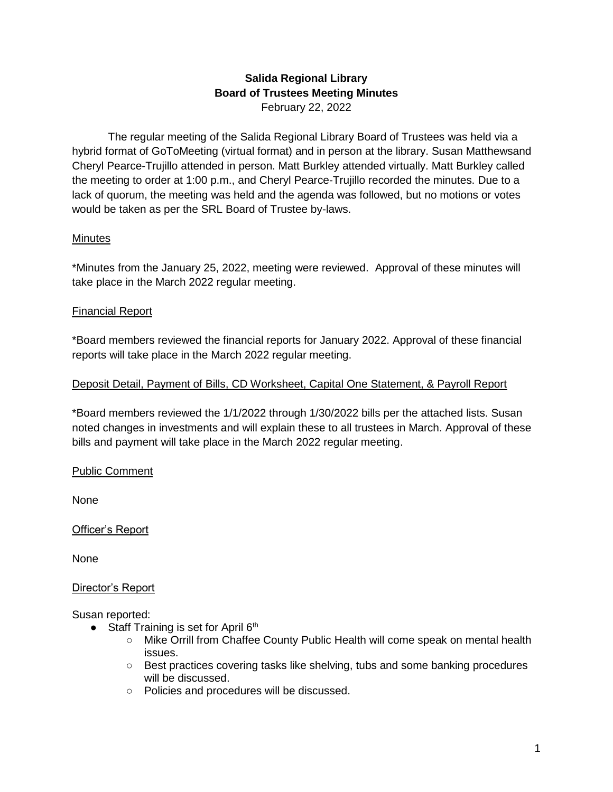#### **Salida Regional Library Board of Trustees Meeting Minutes** February 22, 2022

The regular meeting of the Salida Regional Library Board of Trustees was held via a hybrid format of GoToMeeting (virtual format) and in person at the library. Susan Matthewsand Cheryl Pearce-Trujillo attended in person. Matt Burkley attended virtually. Matt Burkley called the meeting to order at 1:00 p.m., and Cheryl Pearce-Trujillo recorded the minutes. Due to a lack of quorum, the meeting was held and the agenda was followed, but no motions or votes would be taken as per the SRL Board of Trustee by-laws.

## **Minutes**

\*Minutes from the January 25, 2022, meeting were reviewed. Approval of these minutes will take place in the March 2022 regular meeting.

# Financial Report

\*Board members reviewed the financial reports for January 2022. Approval of these financial reports will take place in the March 2022 regular meeting.

# Deposit Detail, Payment of Bills, CD Worksheet, Capital One Statement, & Payroll Report

\*Board members reviewed the 1/1/2022 through 1/30/2022 bills per the attached lists. Susan noted changes in investments and will explain these to all trustees in March. Approval of these bills and payment will take place in the March 2022 regular meeting.

## Public Comment

None

Officer's Report

None

## Director's Report

Susan reported:

- Staff Training is set for April  $6<sup>th</sup>$ 
	- Mike Orrill from Chaffee County Public Health will come speak on mental health issues.
	- Best practices covering tasks like shelving, tubs and some banking procedures will be discussed.
	- Policies and procedures will be discussed.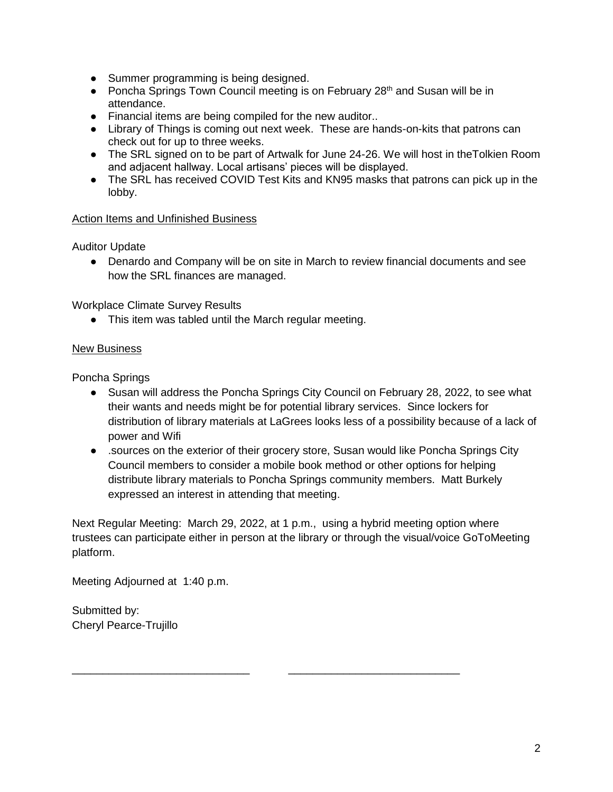- Summer programming is being designed.
- Poncha Springs Town Council meeting is on February 28<sup>th</sup> and Susan will be in attendance.
- Financial items are being compiled for the new auditor..
- Library of Things is coming out next week. These are hands-on-kits that patrons can check out for up to three weeks.
- The SRL signed on to be part of Artwalk for June 24-26. We will host in theTolkien Room and adjacent hallway. Local artisans' pieces will be displayed.
- The SRL has received COVID Test Kits and KN95 masks that patrons can pick up in the lobby.

#### Action Items and Unfinished Business

Auditor Update

• Denardo and Company will be on site in March to review financial documents and see how the SRL finances are managed.

Workplace Climate Survey Results

● This item was tabled until the March regular meeting.

#### New Business

Poncha Springs

- Susan will address the Poncha Springs City Council on February 28, 2022, to see what their wants and needs might be for potential library services. Since lockers for distribution of library materials at LaGrees looks less of a possibility because of a lack of power and Wifi
- .sources on the exterior of their grocery store, Susan would like Poncha Springs City Council members to consider a mobile book method or other options for helping distribute library materials to Poncha Springs community members. Matt Burkely expressed an interest in attending that meeting.

Next Regular Meeting: March 29, 2022, at 1 p.m., using a hybrid meeting option where trustees can participate either in person at the library or through the visual/voice GoToMeeting platform.

\_\_\_\_\_\_\_\_\_\_\_\_\_\_\_\_\_\_\_\_\_\_\_\_\_\_\_\_\_ \_\_\_\_\_\_\_\_\_\_\_\_\_\_\_\_\_\_\_\_\_\_\_\_\_\_\_\_

Meeting Adjourned at 1:40 p.m.

Submitted by: Cheryl Pearce-Trujillo